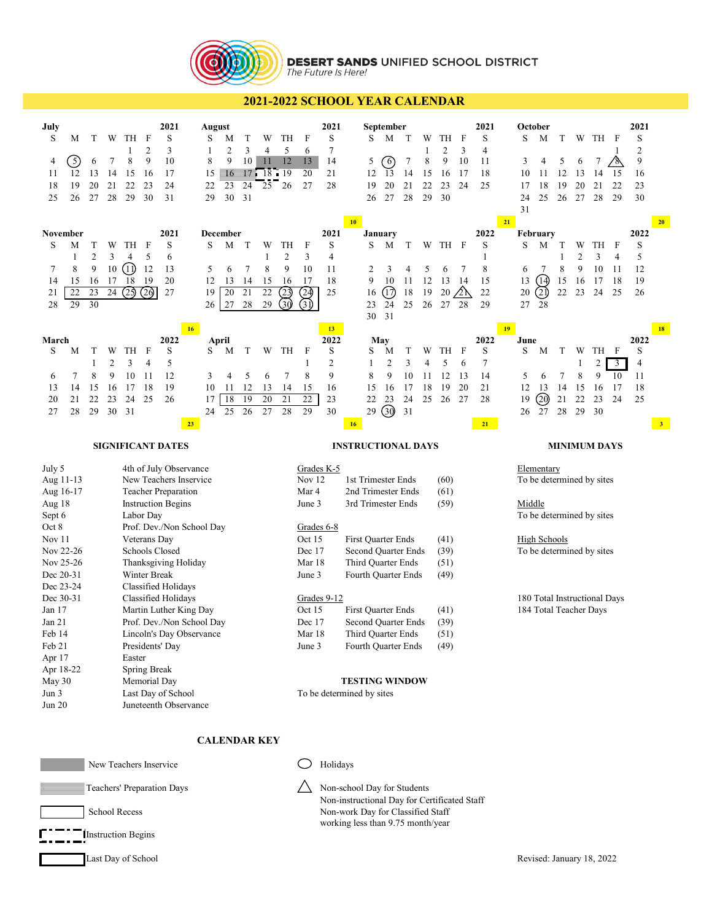

# **DESERT SANDS UNIFIED SCHOOL DISTRICT**<br>The Future Is Here!

## **2021-2022 SCHOOL YEAR CALENDAR**

| July<br>S<br>M<br>$\left[5\right]$<br>4<br>12<br>11<br>19<br>18<br>25<br>26                                                              | T<br>6<br>13<br>20<br>27                   | W<br>7<br>14<br>21<br>28      | TН<br>1<br>8<br>15<br>22<br>29                              | F<br>$\overline{2}$<br>9<br>16<br>23<br>30 | 2021<br>S<br>3<br>10<br>17<br>24<br>31                                                                                                                                                                                |                       | August<br>S<br>1<br>8<br>15<br>22<br>29 | M<br>$\overline{c}$<br>9<br>$\equiv$ 16<br>23<br>30 | T<br>3<br>10<br>24<br>31 | W<br>4<br>H<br>175 18<br>25   | TH<br>5<br>12<br>19<br>$\blacksquare$<br>26     | F<br>6<br>13<br>20<br>27                                                                      | 2021<br>S<br>7<br>14<br>21<br>28                                      |                                                                                                                                                          | S<br>5<br>12<br>19<br>26                 | September<br>M<br>6<br>$\overline{13}$<br>20<br>27 | T<br>7<br>14<br>21<br>28       | W<br>1<br>8<br>15<br>22<br>29 | TH<br>2<br>9<br>16<br>23<br>30                       | F<br>3<br>10<br>17<br>24            | 2021<br>S<br>4<br>11<br>18<br>25                 | S<br>3<br>10<br>17<br>24<br>31         | October<br>M<br>4<br>11<br>18<br>25                                                                                                                                | T<br>5<br>12<br>19<br>26      | W<br>6<br>13<br>20<br>27      | TH<br>7<br>14<br>21<br>28      | F<br>15<br>22<br>29                   | 2021<br>S<br>$\overline{c}$<br>9<br>16<br>23<br>30 |                      |
|------------------------------------------------------------------------------------------------------------------------------------------|--------------------------------------------|-------------------------------|-------------------------------------------------------------|--------------------------------------------|-----------------------------------------------------------------------------------------------------------------------------------------------------------------------------------------------------------------------|-----------------------|-----------------------------------------|-----------------------------------------------------|--------------------------|-------------------------------|-------------------------------------------------|-----------------------------------------------------------------------------------------------|-----------------------------------------------------------------------|----------------------------------------------------------------------------------------------------------------------------------------------------------|------------------------------------------|----------------------------------------------------|--------------------------------|-------------------------------|------------------------------------------------------|-------------------------------------|--------------------------------------------------|----------------------------------------|--------------------------------------------------------------------------------------------------------------------------------------------------------------------|-------------------------------|-------------------------------|--------------------------------|---------------------------------------|----------------------------------------------------|----------------------|
| November<br>S<br>М<br>1<br>8<br>7<br>15<br>14<br>22<br>21<br>28<br>29                                                                    | T<br>$\overline{2}$<br>9<br>16<br>23<br>30 | W<br>3<br>$10\,$<br>17<br>24  | TH<br>$\overline{4}$<br>⋒<br>18<br>(25)                     | F<br>5<br>12<br>19<br>(20)                 | 2021<br>S<br>6<br>13<br>20<br>27                                                                                                                                                                                      |                       | S<br>5<br>12<br>19<br>26                | December<br>М<br>6<br>13<br>20<br>27                | T<br>7<br>14<br>21<br>28 | W<br>1<br>8<br>15<br>22<br>29 | TH<br>$\mathfrak{2}$<br>9<br>16<br>(23)<br>(30) | F<br>3<br>10<br>17<br>(24)<br>31)                                                             | 2021<br>S<br>4<br>11<br>18<br>25                                      | 10                                                                                                                                                       | January<br>S<br>2<br>9<br>16<br>23<br>30 | M<br>3<br>10<br>17)<br>24<br>31                    | T<br>4<br>11<br>18<br>25       | W<br>5<br>12<br>19<br>26      | TH F<br>6<br>13<br>20<br>27                          | 7<br>14<br>$\triangle$<br>28        | 2022<br>S<br>$\mathbf{1}$<br>8<br>15<br>22<br>29 | 21<br>S<br>6<br>13<br>20<br>27         | February<br>M<br>7<br>14)<br>2)<br>28                                                                                                                              | T<br>1<br>8<br>15<br>22       | W<br>2<br>9<br>16<br>23       | TH<br>3<br>10<br>17<br>24      | F<br>$\overline{4}$<br>11<br>18<br>25 | 2022<br>S<br>5<br>12<br>19<br>26                   | 20                   |
| March<br>S<br>M<br>7<br>6<br>13<br>14<br>20<br>21<br>28<br>27                                                                            | T<br>1<br>8<br>15<br>22<br>29              | W<br>2<br>9<br>16<br>23<br>30 | TH<br>3<br>10<br>17<br>24<br>31                             | F<br>$\overline{4}$<br>11<br>18<br>25      | 2022<br>S<br>5<br>12<br>19<br>26                                                                                                                                                                                      | 16 <sup>°</sup><br>23 | S<br>3<br>10<br>17<br>24                | April<br>M<br>4<br>11<br>18<br>25                   | T<br>5<br>12<br>19<br>26 | W<br>6<br>13<br>20<br>27      | TH<br>7<br>14<br>21<br>28                       | F<br>1<br>8<br>15<br>22<br>29                                                                 | 13 <sup>°</sup><br>2022<br>S<br>$\overline{c}$<br>9<br>16<br>23<br>30 | 16                                                                                                                                                       | May<br>S<br>1<br>8<br>15<br>22<br>29     | M<br>$\overline{c}$<br>9<br>16<br>23<br>③          | T<br>3<br>10<br>17<br>24<br>31 | W<br>4<br>11<br>18<br>25      | TH<br>5<br>12<br>19<br>26                            | $\mathbf{F}$<br>6<br>13<br>20<br>27 | 2022<br>S<br>7<br>14<br>21<br>28<br>21           | 19<br>June<br>S<br>5<br>12<br>19<br>26 | M<br>6<br>13<br>⑳<br>27                                                                                                                                            | T<br>$\tau$<br>14<br>21<br>28 | W<br>1<br>8<br>15<br>22<br>29 | TH<br>2<br>9<br>16<br>23<br>30 | F<br>3<br>10<br>17<br>24              | 2022<br>S<br>4<br>11<br>18<br>25                   | 18<br>3 <sup>2</sup> |
|                                                                                                                                          |                                            |                               | <b>SIGNIFICANT DATES</b>                                    |                                            |                                                                                                                                                                                                                       |                       |                                         |                                                     |                          |                               |                                                 |                                                                                               |                                                                       | <b>INSTRUCTIONAL DAYS</b>                                                                                                                                |                                          |                                                    |                                |                               |                                                      |                                     |                                                  |                                        |                                                                                                                                                                    |                               |                               | <b>MINIMUM DAYS</b>            |                                       |                                                    |                      |
|                                                                                                                                          |                                            |                               |                                                             |                                            |                                                                                                                                                                                                                       |                       |                                         |                                                     |                          |                               |                                                 |                                                                                               |                                                                       |                                                                                                                                                          |                                          |                                                    |                                |                               |                                                      |                                     |                                                  |                                        |                                                                                                                                                                    |                               |                               |                                |                                       |                                                    |                      |
| July 5<br>Aug 11-13<br>Aug 16-17<br>Aug 18<br>Sept 6<br>Oct 8<br>Nov 11<br>Nov 22-26<br>Nov 25-26<br>Dec 20-31<br>Dec 23-24<br>Dec 30-31 |                                            |                               | Labor Day<br>Veterans Day<br>Schools Closed<br>Winter Break |                                            | 4th of July Observance<br>New Teachers Inservice<br><b>Teacher Preparation</b><br><b>Instruction Begins</b><br>Prof. Dev./Non School Day<br>Thanksgiving Holiday<br><b>Classified Holidays</b><br>Classified Holidays |                       |                                         |                                                     |                          |                               |                                                 | Grades K-5<br>Nov 12<br>Mar 4<br>June 3<br>Grades 6-8<br>Oct 15<br>Dec 17<br>Mar 18<br>June 3 | Grades 9-12                                                           | 1st Trimester Ends<br>2nd Trimester Ends<br>3rd Trimester Ends<br>First Quarter Ends<br>Second Quarter Ends<br>Third Quarter Ends<br>Fourth Quarter Ends |                                          |                                                    |                                |                               | (60)<br>(61)<br>(59)<br>(41)<br>(39)<br>(51)<br>(49) |                                     |                                                  |                                        | Elementary<br>To be determined by sites<br>Middle<br>To be determined by sites<br><b>High Schools</b><br>To be determined by sites<br>180 Total Instructional Days |                               |                               |                                |                                       |                                                    |                      |
| Jan $17$<br>Jan 21<br>Feb 14<br>Feb 21<br>Apr 17<br>Apr 18-22<br>May 30<br>Jun 3<br>Jun 20                                               |                                            |                               | Presidents' Day<br>Easter<br>Spring Break<br>Memorial Day   |                                            | Martin Luther King Day<br>Prof. Dev./Non School Day<br>Lincoln's Day Observance<br>Last Day of School<br>Juneteenth Observance                                                                                        |                       |                                         |                                                     |                          |                               |                                                 | Oct 15<br>Dec 17<br>Mar 18<br>June 3                                                          | To be determined by sites                                             | <b>First Quarter Ends</b><br>Second Quarter Ends<br>Third Quarter Ends<br>Fourth Quarter Ends<br><b>TESTING WINDOW</b>                                   |                                          |                                                    |                                |                               | (41)<br>(39)<br>(51)<br>(49)                         |                                     |                                                  |                                        | 184 Total Teacher Days                                                                                                                                             |                               |                               |                                |                                       |                                                    |                      |
|                                                                                                                                          |                                            |                               |                                                             |                                            |                                                                                                                                                                                                                       |                       |                                         |                                                     | <b>CALENDAR KEY</b>      |                               |                                                 |                                                                                               |                                                                       |                                                                                                                                                          |                                          |                                                    |                                |                               |                                                      |                                     |                                                  |                                        |                                                                                                                                                                    |                               |                               |                                |                                       |                                                    |                      |

 $\Box$  Teachers' Preparation Days  $\triangle$  Non-school Day for Students

School Recess Non-work Day for Classified Staff

Instruction Begins

Non-instructional Day for Certificated Staff